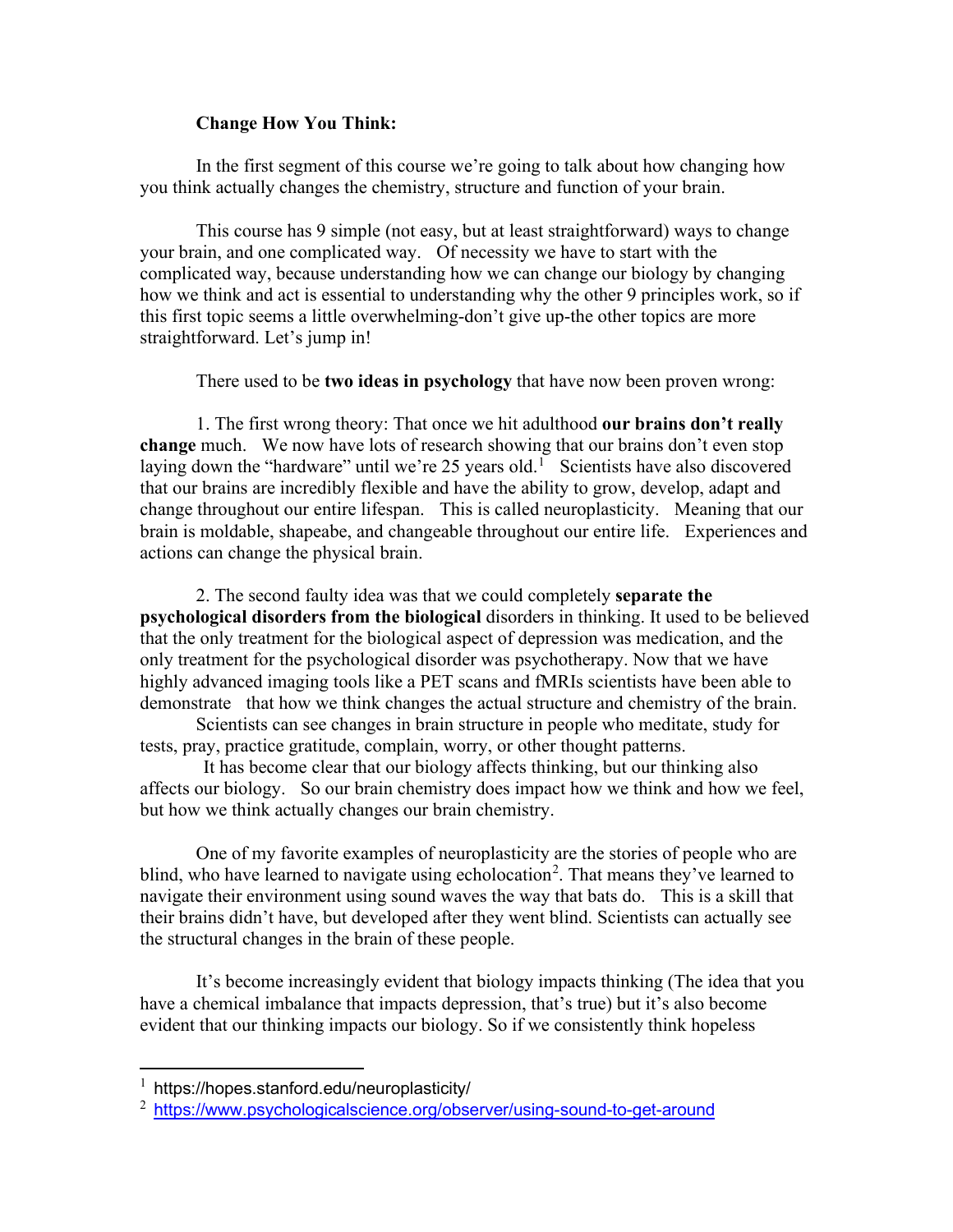## **Change How You Think:**

In the first segment of this course we're going to talk about how changing how you think actually changes the chemistry, structure and function of your brain.

This course has 9 simple (not easy, but at least straightforward) ways to change your brain, and one complicated way. Of necessity we have to start with the complicated way, because understanding how we can change our biology by changing how we think and act is essential to understanding why the other 9 principles work, so if this first topic seems a little overwhelming-don't give up-the other topics are more straightforward. Let's jump in!

There used to be **two ideas in psychology** that have now been proven wrong:

1. The first wrong theory: That once we hit adulthood **our brains don't really change** much. We now have lots of research showing that our brains don't even stop laying down the "hardware" until we're 25 years old.<sup>[1](#page-0-0)</sup> Scientists have also discovered that our brains are incredibly flexible and have the ability to grow, develop, adapt and change throughout our entire lifespan. This is called neuroplasticity. Meaning that our brain is moldable, shapeabe, and changeable throughout our entire life. Experiences and actions can change the physical brain.

2. The second faulty idea was that we could completely **separate the psychological disorders from the biological** disorders in thinking. It used to be believed that the only treatment for the biological aspect of depression was medication, and the only treatment for the psychological disorder was psychotherapy. Now that we have highly advanced imaging tools like a PET scans and fMRIs scientists have been able to demonstrate that how we think changes the actual structure and chemistry of the brain.

Scientists can see changes in brain structure in people who meditate, study for tests, pray, practice gratitude, complain, worry, or other thought patterns.

It has become clear that our biology affects thinking, but our thinking also affects our biology. So our brain chemistry does impact how we think and how we feel, but how we think actually changes our brain chemistry.

One of my favorite examples of neuroplasticity are the stories of people who are blind, who have learned to navigate using echolocation<sup>[2](#page-0-1)</sup>. That means they've learned to navigate their environment using sound waves the way that bats do. This is a skill that their brains didn't have, but developed after they went blind. Scientists can actually see the structural changes in the brain of these people.

It's become increasingly evident that biology impacts thinking (The idea that you have a chemical imbalance that impacts depression, that's true) but it's also become evident that our thinking impacts our biology. So if we consistently think hopeless

<span id="page-0-0"></span> $1$  https://hopes.stanford.edu/neuroplasticity/

<span id="page-0-1"></span><sup>&</sup>lt;sup>2</sup> <https://www.psychologicalscience.org/observer/using-sound-to-get-around>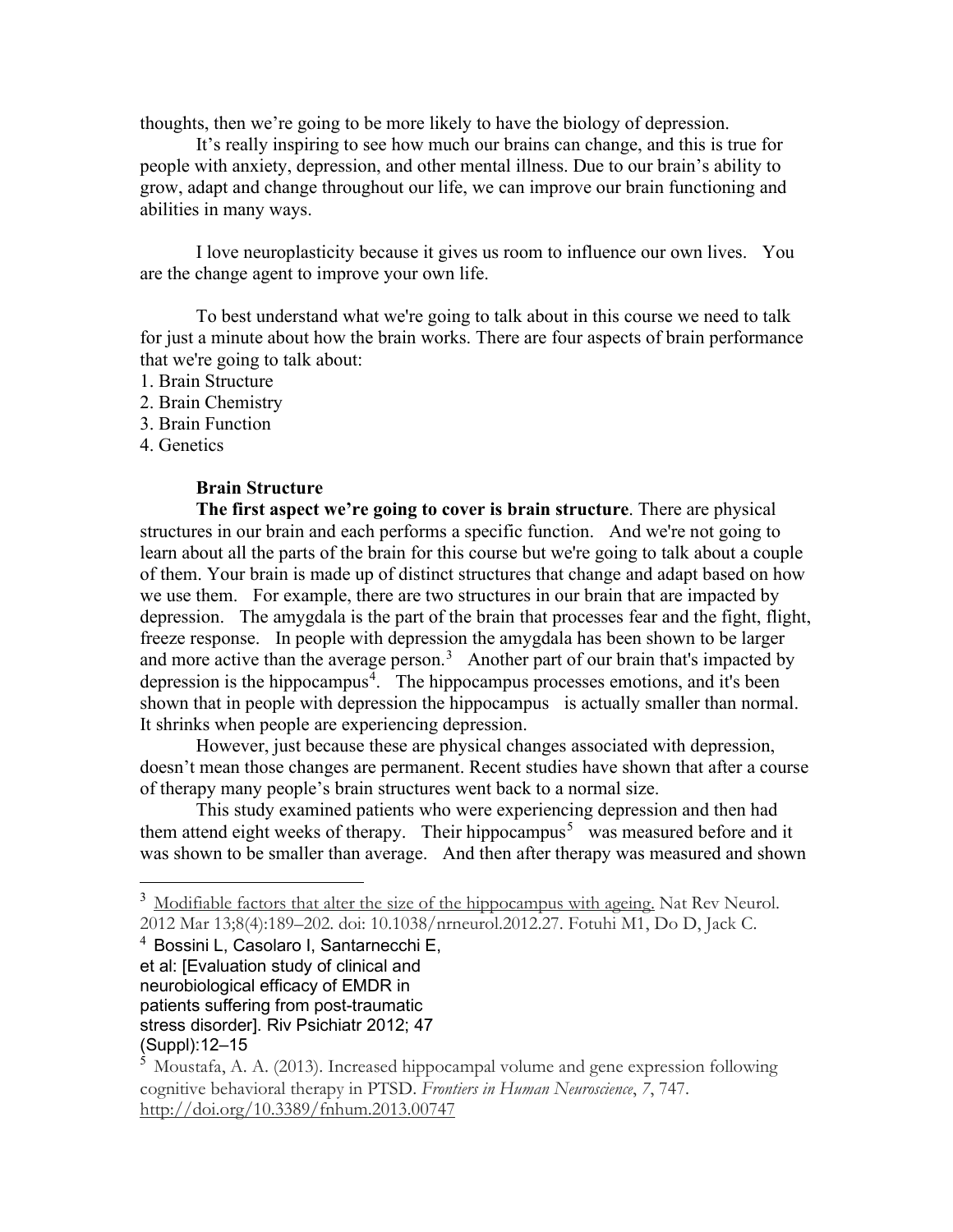thoughts, then we're going to be more likely to have the biology of depression.

It's really inspiring to see how much our brains can change, and this is true for people with anxiety, depression, and other mental illness. Due to our brain's ability to grow, adapt and change throughout our life, we can improve our brain functioning and abilities in many ways.

I love neuroplasticity because it gives us room to influence our own lives. You are the change agent to improve your own life.

To best understand what we're going to talk about in this course we need to talk for just a minute about how the brain works. There are four aspects of brain performance that we're going to talk about:

- 1. Brain Structure
- 2. Brain Chemistry
- 3. Brain Function
- 4. Genetics

## **Brain Structure**

**The first aspect we're going to cover is brain structure**. There are physical structures in our brain and each performs a specific function. And we're not going to learn about all the parts of the brain for this course but we're going to talk about a couple of them. Your brain is made up of distinct structures that change and adapt based on how we use them. For example, there are two structures in our brain that are impacted by depression. The amygdala is the part of the brain that processes fear and the fight, flight, freeze response. In people with depression the amygdala has been shown to be larger and more active than the average person.<sup>[3](#page-1-0)</sup> Another part of our brain that's impacted by depression is the hippocampus<sup>[4](#page-1-1)</sup>. The hippocampus processes emotions, and it's been shown that in people with depression the hippocampus is actually smaller than normal. It shrinks when people are experiencing depression.

However, just because these are physical changes associated with depression, doesn't mean those changes are permanent. Recent studies have shown that after a course of therapy many people's brain structures went back to a normal size.

This study examined patients who were experiencing depression and then had them attend eight weeks of therapy. Their hippocampus<sup>[5](#page-1-2)</sup> was measured before and it was shown to be smaller than average. And then after therapy was measured and shown

<span id="page-1-1"></span><sup>4</sup> Bossini L, Casolaro I, Santarnecchi E, et al: [Evaluation study of clinical and neurobiological efficacy of EMDR in patients suffering from post-traumatic stress disorder]. Riv Psichiatr 2012; 47 (Suppl):12–15

<span id="page-1-0"></span><sup>&</sup>lt;sup>3</sup> Modifiable factors that alter the size of the hippocampus with ageing. Nat Rev Neurol. 2012 Mar 13;8(4):189–202. doi: 10.1038/nrneurol.2012.27. Fotuhi M1, Do D, Jack C.

<span id="page-1-2"></span><sup>5</sup> Moustafa, A. A. (2013). Increased hippocampal volume and gene expression following cognitive behavioral therapy in PTSD. *Frontiers in Human Neuroscience*, *7*, 747. http://doi.org/10.3389/fnhum.2013.00747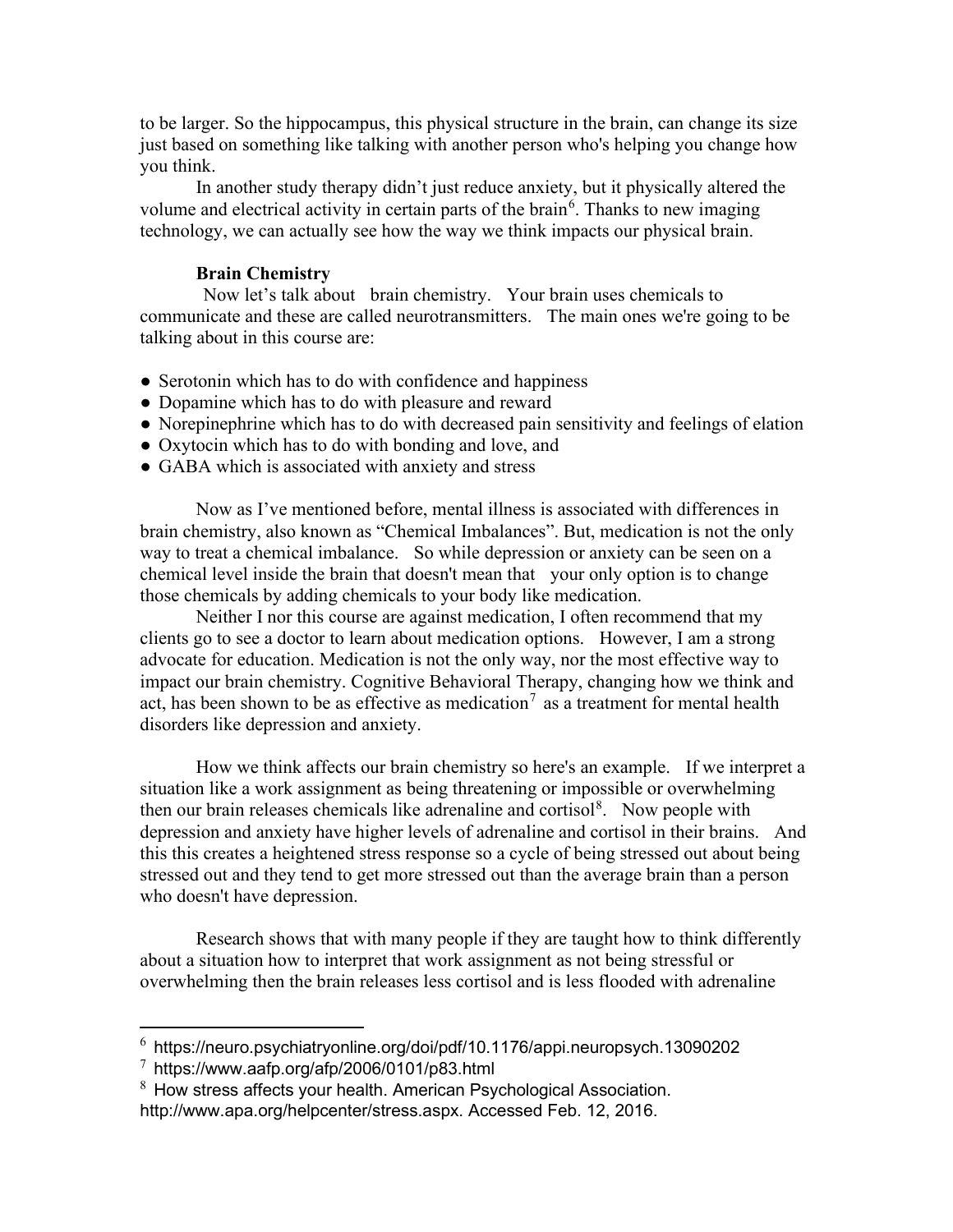to be larger. So the hippocampus, this physical structure in the brain, can change its size just based on something like talking with another person who's helping you change how you think.

In another study therapy didn't just reduce anxiety, but it physically altered the volume and electrical activity in certain parts of the brain<sup>[6](#page-2-0)</sup>. Thanks to new imaging technology, we can actually see how the way we think impacts our physical brain.

## **Brain Chemistry**

Now let's talk about brain chemistry. Your brain uses chemicals to communicate and these are called neurotransmitters. The main ones we're going to be talking about in this course are:

- Serotonin which has to do with confidence and happiness
- Dopamine which has to do with pleasure and reward
- Norepinephrine which has to do with decreased pain sensitivity and feelings of elation
- Oxytocin which has to do with bonding and love, and
- GABA which is associated with anxiety and stress

Now as I've mentioned before, mental illness is associated with differences in brain chemistry, also known as "Chemical Imbalances". But, medication is not the only way to treat a chemical imbalance. So while depression or anxiety can be seen on a chemical level inside the brain that doesn't mean that your only option is to change those chemicals by adding chemicals to your body like medication.

Neither I nor this course are against medication, I often recommend that my clients go to see a doctor to learn about medication options. However, I am a strong advocate for education. Medication is not the only way, nor the most effective way to impact our brain chemistry. Cognitive Behavioral Therapy, changing how we think and act, has been shown to be as effective as medication<sup>[7](#page-2-1)</sup> as a treatment for mental health disorders like depression and anxiety.

How we think affects our brain chemistry so here's an example. If we interpret a situation like a work assignment as being threatening or impossible or overwhelming then our brain releases chemicals like adrenaline and cortisol<sup>[8](#page-2-2)</sup>. Now people with depression and anxiety have higher levels of adrenaline and cortisol in their brains. And this this creates a heightened stress response so a cycle of being stressed out about being stressed out and they tend to get more stressed out than the average brain than a person who doesn't have depression.

Research shows that with many people if they are taught how to think differently about a situation how to interpret that work assignment as not being stressful or overwhelming then the brain releases less cortisol and is less flooded with adrenaline

<span id="page-2-0"></span> $6$  https://neuro.psychiatryonline.org/doi/pdf/10.1176/appi.neuropsych.13090202

<span id="page-2-1"></span> $^7$  https://www.aafp.org/afp/2006/0101/p83.html

<span id="page-2-2"></span> $8$  How stress affects your health. American Psychological Association. http://www.apa.org/helpcenter/stress.aspx. Accessed Feb. 12, 2016.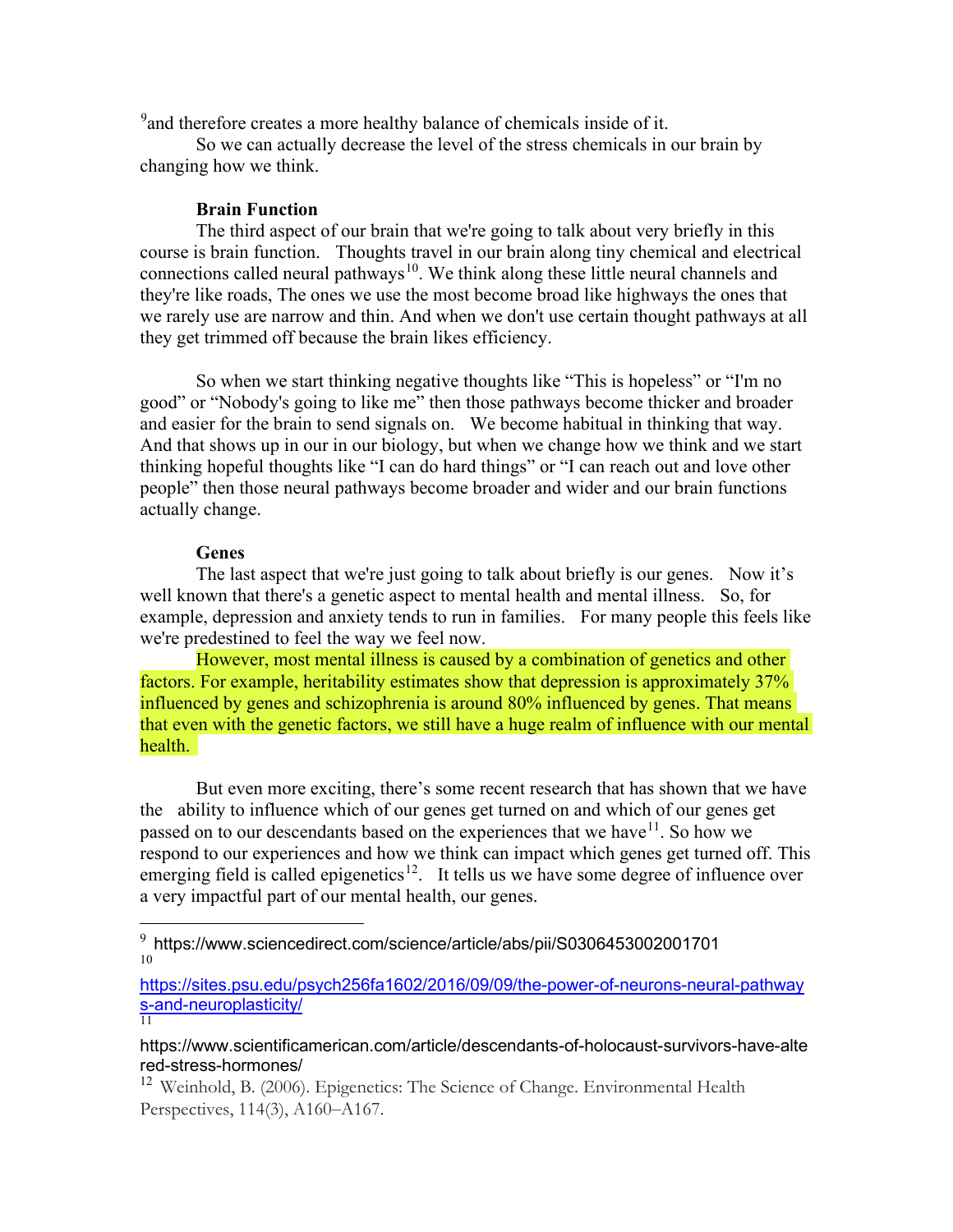<sup>[9](#page-3-0)</sup> and therefore creates a more healthy balance of chemicals inside of it.

So we can actually decrease the level of the stress chemicals in our brain by changing how we think.

## **Brain Function**

The third aspect of our brain that we're going to talk about very briefly in this course is brain function. Thoughts travel in our brain along tiny chemical and electrical connections called neural pathways<sup>10</sup>. We think along these little neural channels and they're like roads, The ones we use the most become broad like highways the ones that we rarely use are narrow and thin. And when we don't use certain thought pathways at all they get trimmed off because the brain likes efficiency.

So when we start thinking negative thoughts like "This is hopeless" or "I'm no good" or "Nobody's going to like me" then those pathways become thicker and broader and easier for the brain to send signals on. We become habitual in thinking that way. And that shows up in our in our biology, but when we change how we think and we start thinking hopeful thoughts like "I can do hard things" or "I can reach out and love other people" then those neural pathways become broader and wider and our brain functions actually change.

## **Genes**

The last aspect that we're just going to talk about briefly is our genes. Now it's well known that there's a genetic aspect to mental health and mental illness. So, for example, depression and anxiety tends to run in families. For many people this feels like we're predestined to feel the way we feel now.

However, most mental illness is caused by a combination of genetics and other factors. For example, heritability estimates show that depression is approximately 37% influenced by genes and schizophrenia is around 80% influenced by genes. That means that even with the genetic factors, we still have a huge realm of influence with our mental health.

But even more exciting, there's some recent research that has shown that we have the ability to influence which of our genes get turned on and which of our genes get passed on to our descendants based on the experiences that we have  $11$ . So how we respond to our experiences and how we think can impact which genes get turned off. This emerging field is called epigenetics<sup>12</sup>. It tells us we have some degree of influence over a very impactful part of our mental health, our genes.

<span id="page-3-1"></span>[https://sites.psu.edu/psych256fa1602/2016/09/09/the-power-of-neurons-neural-pathway](https://sites.psu.edu/psych256fa1602/2016/09/09/the-power-of-neurons-neural-pathways-and-neuroplasticity/) [s-and-neuroplasticity/](https://sites.psu.edu/psych256fa1602/2016/09/09/the-power-of-neurons-neural-pathways-and-neuroplasticity/) 11

# <span id="page-3-2"></span>https://www.scientificamerican.com/article/descendants-of-holocaust-survivors-have-alte red-stress-hormones/

<span id="page-3-3"></span><sup>12</sup> Weinhold, B. (2006). Epigenetics: The Science of Change. Environmental Health Perspectives, 114(3), A160–A167.

<span id="page-3-0"></span><sup>9</sup> https://www.sciencedirect.com/science/article/abs/pii/S0306453002001701 10